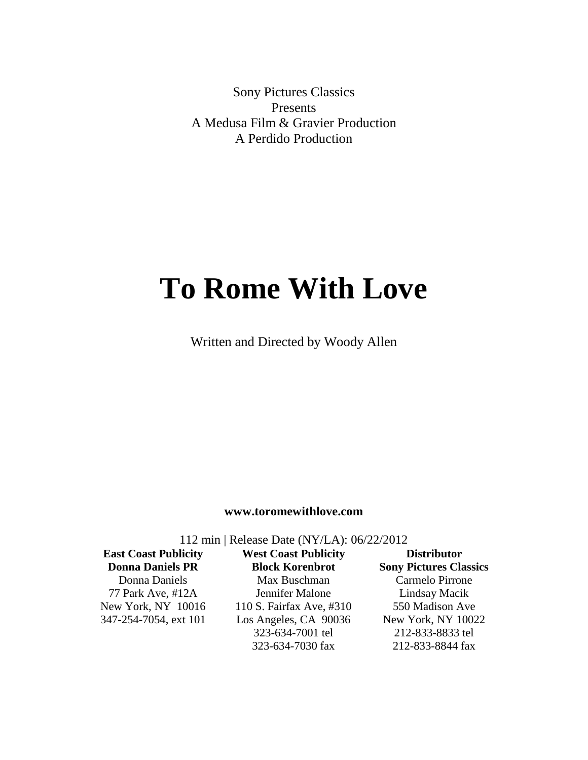Sony Pictures Classics Presents A Medusa Film & Gravier Production A Perdido Production

# **To Rome With Love**

Written and Directed by Woody Allen

#### **www.toromewithlove.com**

112 min | Release Date (NY/LA): 06/22/2012

**East Coast Publicity Donna Daniels PR** Donna Daniels 77 Park Ave, #12A New York, NY 10016 347-254-7054, ext 101

**West Coast Publicity Block Korenbrot** Max Buschman Jennifer Malone 110 S. Fairfax Ave, #310 Los Angeles, CA 90036 323-634-7001 tel 323-634-7030 fax

**Distributor Sony Pictures Classics** Carmelo Pirrone Lindsay Macik 550 Madison Ave New York, NY 10022 212-833-8833 tel 212-833-8844 fax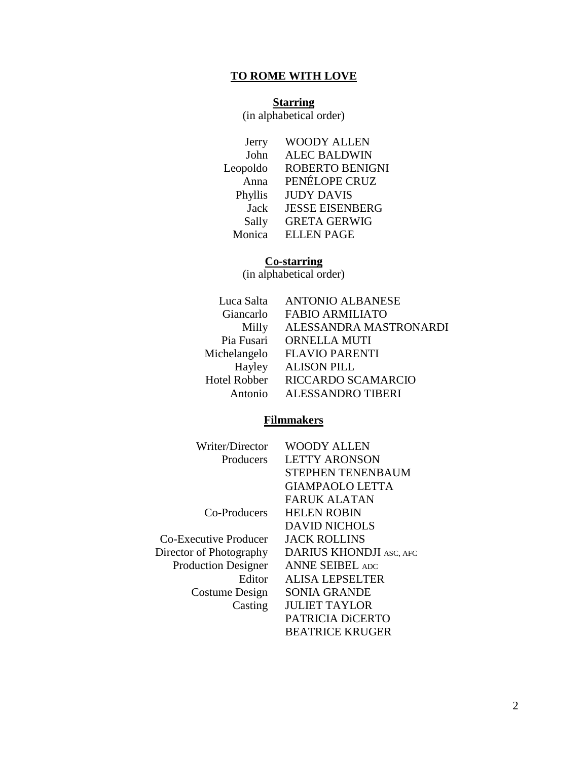# **TO ROME WITH LOVE**

#### **Starring**

(in alphabetical order)

| Jerry       | <b>WOODY ALLEN</b>     |
|-------------|------------------------|
| John        | <b>ALEC BALDWIN</b>    |
| Leopoldo    | <b>ROBERTO BENIGNI</b> |
| Anna        | PENÉLOPE CRUZ          |
| Phyllis     | <b>JUDY DAVIS</b>      |
| <b>Jack</b> | <b>JESSE EISENBERG</b> |
| Sally       | <b>GRETA GERWIG</b>    |
| Monica      | <b>ELLEN PAGE</b>      |
|             |                        |

#### **Co-starring**

(in alphabetical order)

| ALESSANDRA MASTRONARDI |
|------------------------|
|                        |
|                        |
|                        |
|                        |
|                        |
|                        |

#### **Filmmakers**

| Writer/Director            | WOODY ALLEN                    |
|----------------------------|--------------------------------|
| Producers                  | <b>LETTY ARONSON</b>           |
|                            | STEPHEN TENENBAUM              |
|                            | <b>GIAMPAOLO LETTA</b>         |
|                            | <b>FARUK ALATAN</b>            |
| Co-Producers               | <b>HELEN ROBIN</b>             |
|                            | <b>DAVID NICHOLS</b>           |
| Co-Executive Producer      | <b>JACK ROLLINS</b>            |
| Director of Photography    | <b>DARIUS KHONDJI ASC, AFC</b> |
| <b>Production Designer</b> | <b>ANNE SEIBEL ADC</b>         |
| Editor                     | <b>ALISA LEPSELTER</b>         |
| Costume Design             | <b>SONIA GRANDE</b>            |
| Casting                    | <b>JULIET TAYLOR</b>           |
|                            | PATRICIA DICERTO               |
|                            | <b>BEATRICE KRUGER</b>         |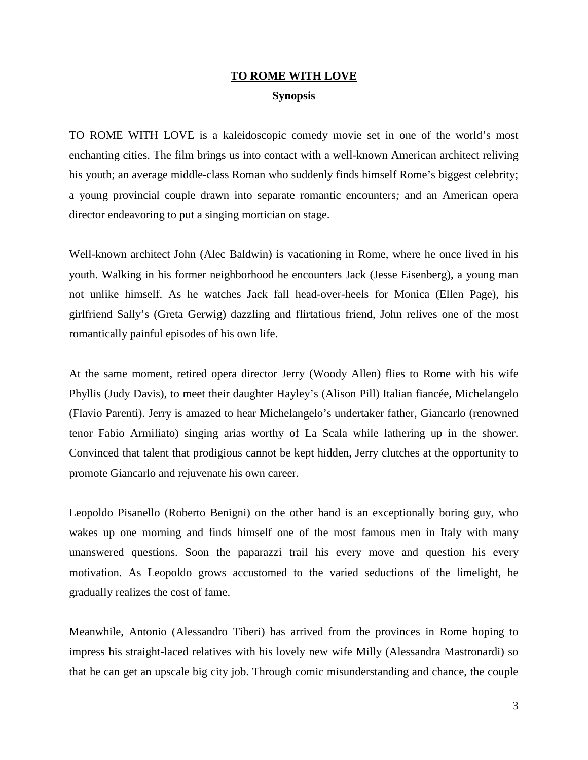## **TO ROME WITH LOVE Synopsis**

TO ROME WITH LOVE is a kaleidoscopic comedy movie set in one of the world's most enchanting cities. The film brings us into contact with a well-known American architect reliving his youth; an average middle-class Roman who suddenly finds himself Rome's biggest celebrity; a young provincial couple drawn into separate romantic encounters*;* and an American opera director endeavoring to put a singing mortician on stage.

Well-known architect John (Alec Baldwin) is vacationing in Rome, where he once lived in his youth. Walking in his former neighborhood he encounters Jack (Jesse Eisenberg), a young man not unlike himself. As he watches Jack fall head-over-heels for Monica (Ellen Page), his girlfriend Sally's (Greta Gerwig) dazzling and flirtatious friend, John relives one of the most romantically painful episodes of his own life.

At the same moment, retired opera director Jerry (Woody Allen) flies to Rome with his wife Phyllis (Judy Davis), to meet their daughter Hayley's (Alison Pill) Italian fiancée, Michelangelo (Flavio Parenti). Jerry is amazed to hear Michelangelo's undertaker father, Giancarlo (renowned tenor Fabio Armiliato) singing arias worthy of La Scala while lathering up in the shower. Convinced that talent that prodigious cannot be kept hidden, Jerry clutches at the opportunity to promote Giancarlo and rejuvenate his own career.

Leopoldo Pisanello (Roberto Benigni) on the other hand is an exceptionally boring guy, who wakes up one morning and finds himself one of the most famous men in Italy with many unanswered questions. Soon the paparazzi trail his every move and question his every motivation. As Leopoldo grows accustomed to the varied seductions of the limelight, he gradually realizes the cost of fame.

Meanwhile, Antonio (Alessandro Tiberi) has arrived from the provinces in Rome hoping to impress his straight-laced relatives with his lovely new wife Milly (Alessandra Mastronardi) so that he can get an upscale big city job. Through comic misunderstanding and chance, the couple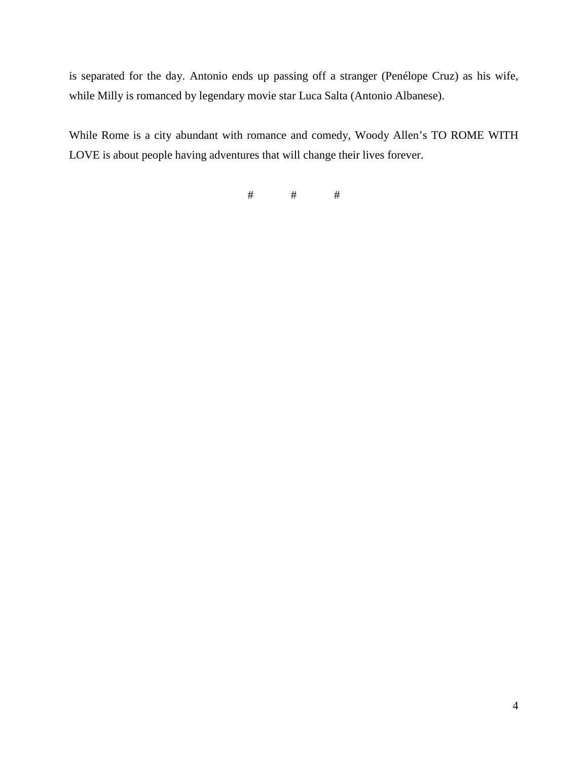is separated for the day. Antonio ends up passing off a stranger (Penélope Cruz) as his wife, while Milly is romanced by legendary movie star Luca Salta (Antonio Albanese).

While Rome is a city abundant with romance and comedy, Woody Allen's TO ROME WITH LOVE is about people having adventures that will change their lives forever.

 $#$   $#$   $#$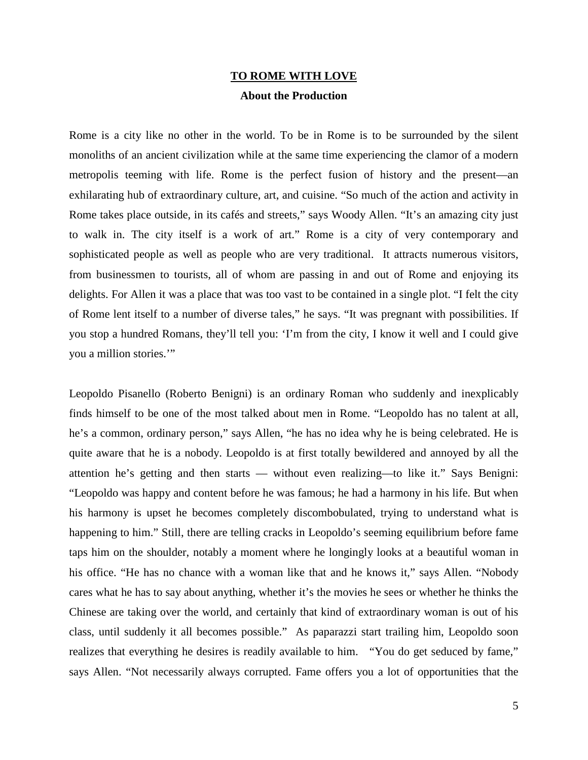#### **TO ROME WITH LOVE About the Production**

Rome is a city like no other in the world. To be in Rome is to be surrounded by the silent monoliths of an ancient civilization while at the same time experiencing the clamor of a modern metropolis teeming with life. Rome is the perfect fusion of history and the present—an exhilarating hub of extraordinary culture, art, and cuisine. "So much of the action and activity in Rome takes place outside, in its cafés and streets," says Woody Allen. "It's an amazing city just to walk in. The city itself is a work of art." Rome is a city of very contemporary and sophisticated people as well as people who are very traditional. It attracts numerous visitors, from businessmen to tourists, all of whom are passing in and out of Rome and enjoying its delights. For Allen it was a place that was too vast to be contained in a single plot. "I felt the city of Rome lent itself to a number of diverse tales," he says. "It was pregnant with possibilities. If you stop a hundred Romans, they'll tell you: 'I'm from the city, I know it well and I could give you a million stories.'"

Leopoldo Pisanello (Roberto Benigni) is an ordinary Roman who suddenly and inexplicably finds himself to be one of the most talked about men in Rome. "Leopoldo has no talent at all, he's a common, ordinary person," says Allen, "he has no idea why he is being celebrated. He is quite aware that he is a nobody. Leopoldo is at first totally bewildered and annoyed by all the attention he's getting and then starts — without even realizing—to like it." Says Benigni: "Leopoldo was happy and content before he was famous; he had a harmony in his life. But when his harmony is upset he becomes completely discombobulated, trying to understand what is happening to him." Still, there are telling cracks in Leopoldo's seeming equilibrium before fame taps him on the shoulder, notably a moment where he longingly looks at a beautiful woman in his office. "He has no chance with a woman like that and he knows it," says Allen. "Nobody cares what he has to say about anything, whether it's the movies he sees or whether he thinks the Chinese are taking over the world, and certainly that kind of extraordinary woman is out of his class, until suddenly it all becomes possible." As paparazzi start trailing him, Leopoldo soon realizes that everything he desires is readily available to him. "You do get seduced by fame," says Allen. "Not necessarily always corrupted. Fame offers you a lot of opportunities that the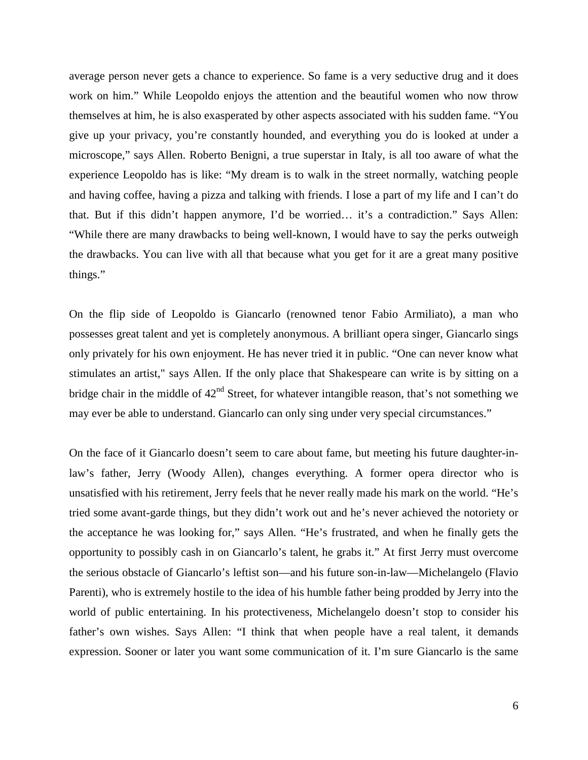average person never gets a chance to experience. So fame is a very seductive drug and it does work on him." While Leopoldo enjoys the attention and the beautiful women who now throw themselves at him, he is also exasperated by other aspects associated with his sudden fame. "You give up your privacy, you're constantly hounded, and everything you do is looked at under a microscope," says Allen. Roberto Benigni, a true superstar in Italy, is all too aware of what the experience Leopoldo has is like: "My dream is to walk in the street normally, watching people and having coffee, having a pizza and talking with friends. I lose a part of my life and I can't do that. But if this didn't happen anymore, I'd be worried… it's a contradiction." Says Allen: "While there are many drawbacks to being well-known, I would have to say the perks outweigh the drawbacks. You can live with all that because what you get for it are a great many positive things."

On the flip side of Leopoldo is Giancarlo (renowned tenor Fabio Armiliato), a man who possesses great talent and yet is completely anonymous. A brilliant opera singer, Giancarlo sings only privately for his own enjoyment. He has never tried it in public. "One can never know what stimulates an artist," says Allen. If the only place that Shakespeare can write is by sitting on a bridge chair in the middle of  $42<sup>nd</sup>$  Street, for whatever intangible reason, that's not something we may ever be able to understand. Giancarlo can only sing under very special circumstances."

On the face of it Giancarlo doesn't seem to care about fame, but meeting his future daughter-inlaw's father, Jerry (Woody Allen), changes everything. A former opera director who is unsatisfied with his retirement, Jerry feels that he never really made his mark on the world. "He's tried some avant-garde things, but they didn't work out and he's never achieved the notoriety or the acceptance he was looking for," says Allen. "He's frustrated, and when he finally gets the opportunity to possibly cash in on Giancarlo's talent, he grabs it." At first Jerry must overcome the serious obstacle of Giancarlo's leftist son—and his future son-in-law—Michelangelo (Flavio Parenti), who is extremely hostile to the idea of his humble father being prodded by Jerry into the world of public entertaining. In his protectiveness, Michelangelo doesn't stop to consider his father's own wishes. Says Allen: "I think that when people have a real talent, it demands expression. Sooner or later you want some communication of it. I'm sure Giancarlo is the same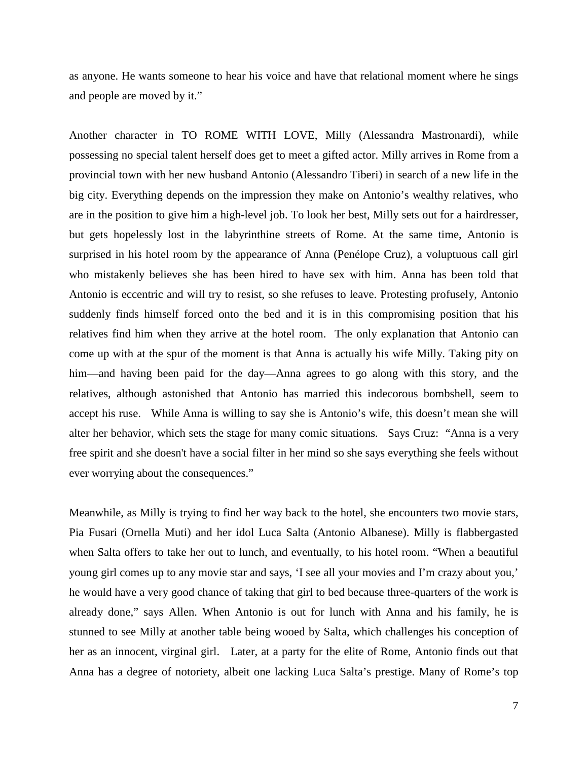as anyone. He wants someone to hear his voice and have that relational moment where he sings and people are moved by it."

Another character in TO ROME WITH LOVE, Milly (Alessandra Mastronardi), while possessing no special talent herself does get to meet a gifted actor. Milly arrives in Rome from a provincial town with her new husband Antonio (Alessandro Tiberi) in search of a new life in the big city. Everything depends on the impression they make on Antonio's wealthy relatives, who are in the position to give him a high-level job. To look her best, Milly sets out for a hairdresser, but gets hopelessly lost in the labyrinthine streets of Rome. At the same time, Antonio is surprised in his hotel room by the appearance of Anna (Penélope Cruz), a voluptuous call girl who mistakenly believes she has been hired to have sex with him. Anna has been told that Antonio is eccentric and will try to resist, so she refuses to leave. Protesting profusely, Antonio suddenly finds himself forced onto the bed and it is in this compromising position that his relatives find him when they arrive at the hotel room. The only explanation that Antonio can come up with at the spur of the moment is that Anna is actually his wife Milly. Taking pity on him—and having been paid for the day—Anna agrees to go along with this story, and the relatives, although astonished that Antonio has married this indecorous bombshell, seem to accept his ruse. While Anna is willing to say she is Antonio's wife, this doesn't mean she will alter her behavior, which sets the stage for many comic situations. Says Cruz: "Anna is a very free spirit and she doesn't have a social filter in her mind so she says everything she feels without ever worrying about the consequences."

Meanwhile, as Milly is trying to find her way back to the hotel, she encounters two movie stars, Pia Fusari (Ornella Muti) and her idol Luca Salta (Antonio Albanese). Milly is flabbergasted when Salta offers to take her out to lunch, and eventually, to his hotel room. "When a beautiful young girl comes up to any movie star and says, 'I see all your movies and I'm crazy about you,' he would have a very good chance of taking that girl to bed because three-quarters of the work is already done," says Allen. When Antonio is out for lunch with Anna and his family, he is stunned to see Milly at another table being wooed by Salta, which challenges his conception of her as an innocent, virginal girl. Later, at a party for the elite of Rome, Antonio finds out that Anna has a degree of notoriety, albeit one lacking Luca Salta's prestige. Many of Rome's top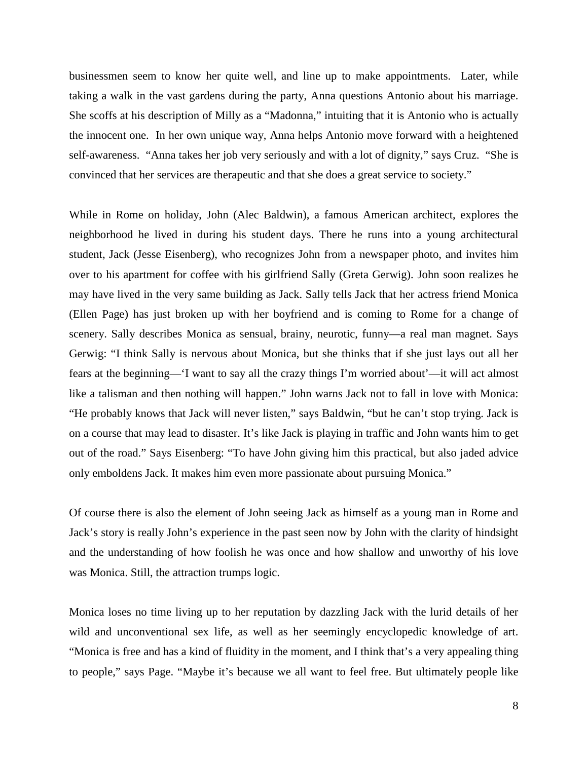businessmen seem to know her quite well, and line up to make appointments. Later, while taking a walk in the vast gardens during the party, Anna questions Antonio about his marriage. She scoffs at his description of Milly as a "Madonna," intuiting that it is Antonio who is actually the innocent one. In her own unique way, Anna helps Antonio move forward with a heightened self-awareness. "Anna takes her job very seriously and with a lot of dignity," says Cruz. "She is convinced that her services are therapeutic and that she does a great service to society."

While in Rome on holiday, John (Alec Baldwin), a famous American architect, explores the neighborhood he lived in during his student days. There he runs into a young architectural student, Jack (Jesse Eisenberg), who recognizes John from a newspaper photo, and invites him over to his apartment for coffee with his girlfriend Sally (Greta Gerwig). John soon realizes he may have lived in the very same building as Jack. Sally tells Jack that her actress friend Monica (Ellen Page) has just broken up with her boyfriend and is coming to Rome for a change of scenery. Sally describes Monica as sensual, brainy, neurotic, funny—a real man magnet. Says Gerwig: "I think Sally is nervous about Monica, but she thinks that if she just lays out all her fears at the beginning—'I want to say all the crazy things I'm worried about'—it will act almost like a talisman and then nothing will happen." John warns Jack not to fall in love with Monica: "He probably knows that Jack will never listen," says Baldwin, "but he can't stop trying. Jack is on a course that may lead to disaster. It's like Jack is playing in traffic and John wants him to get out of the road." Says Eisenberg: "To have John giving him this practical, but also jaded advice only emboldens Jack. It makes him even more passionate about pursuing Monica."

Of course there is also the element of John seeing Jack as himself as a young man in Rome and Jack's story is really John's experience in the past seen now by John with the clarity of hindsight and the understanding of how foolish he was once and how shallow and unworthy of his love was Monica. Still, the attraction trumps logic.

Monica loses no time living up to her reputation by dazzling Jack with the lurid details of her wild and unconventional sex life, as well as her seemingly encyclopedic knowledge of art. "Monica is free and has a kind of fluidity in the moment, and I think that's a very appealing thing to people," says Page. "Maybe it's because we all want to feel free. But ultimately people like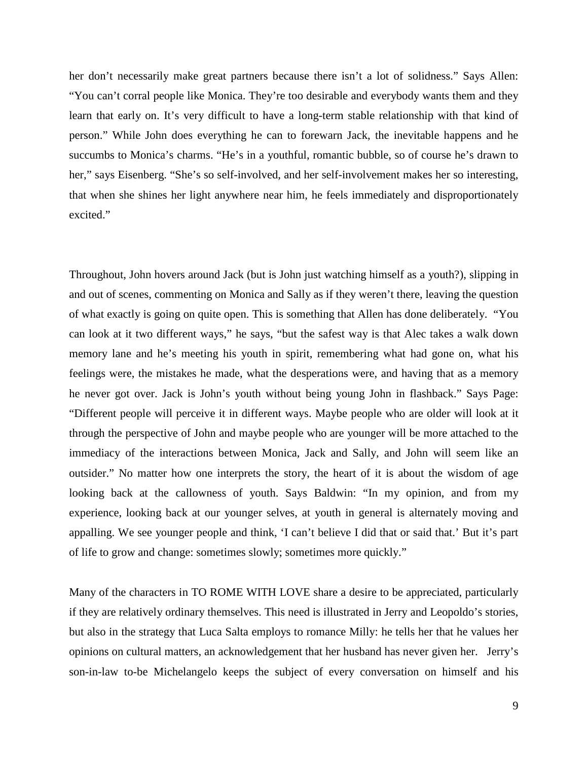her don't necessarily make great partners because there isn't a lot of solidness." Says Allen: "You can't corral people like Monica. They're too desirable and everybody wants them and they learn that early on. It's very difficult to have a long-term stable relationship with that kind of person." While John does everything he can to forewarn Jack, the inevitable happens and he succumbs to Monica's charms. "He's in a youthful, romantic bubble, so of course he's drawn to her," says Eisenberg. "She's so self-involved, and her self-involvement makes her so interesting, that when she shines her light anywhere near him, he feels immediately and disproportionately excited."

Throughout, John hovers around Jack (but is John just watching himself as a youth?), slipping in and out of scenes, commenting on Monica and Sally as if they weren't there, leaving the question of what exactly is going on quite open. This is something that Allen has done deliberately. "You can look at it two different ways," he says, "but the safest way is that Alec takes a walk down memory lane and he's meeting his youth in spirit, remembering what had gone on, what his feelings were, the mistakes he made, what the desperations were, and having that as a memory he never got over. Jack is John's youth without being young John in flashback." Says Page: "Different people will perceive it in different ways. Maybe people who are older will look at it through the perspective of John and maybe people who are younger will be more attached to the immediacy of the interactions between Monica, Jack and Sally, and John will seem like an outsider." No matter how one interprets the story, the heart of it is about the wisdom of age looking back at the callowness of youth. Says Baldwin: "In my opinion, and from my experience, looking back at our younger selves, at youth in general is alternately moving and appalling. We see younger people and think, 'I can't believe I did that or said that.' But it's part of life to grow and change: sometimes slowly; sometimes more quickly."

Many of the characters in TO ROME WITH LOVE share a desire to be appreciated, particularly if they are relatively ordinary themselves. This need is illustrated in Jerry and Leopoldo's stories, but also in the strategy that Luca Salta employs to romance Milly: he tells her that he values her opinions on cultural matters, an acknowledgement that her husband has never given her. Jerry's son-in-law to-be Michelangelo keeps the subject of every conversation on himself and his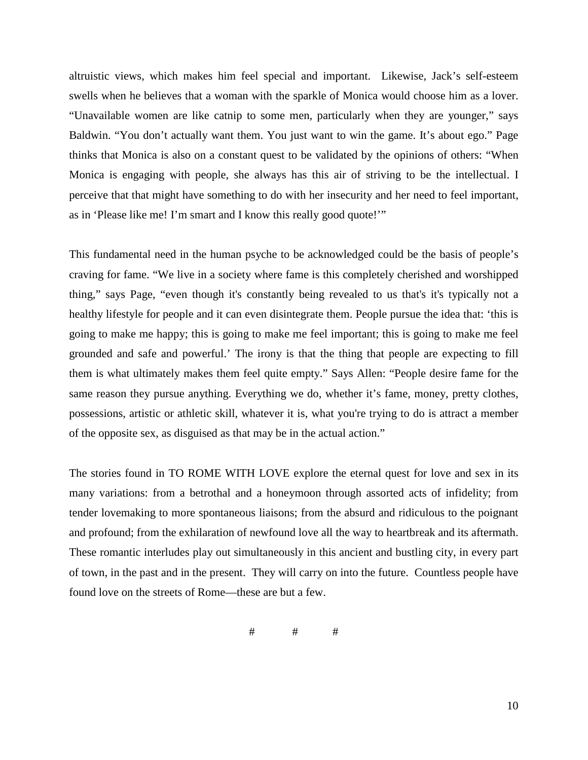altruistic views, which makes him feel special and important. Likewise, Jack's self-esteem swells when he believes that a woman with the sparkle of Monica would choose him as a lover. "Unavailable women are like catnip to some men, particularly when they are younger," says Baldwin. "You don't actually want them. You just want to win the game. It's about ego." Page thinks that Monica is also on a constant quest to be validated by the opinions of others: "When Monica is engaging with people, she always has this air of striving to be the intellectual. I perceive that that might have something to do with her insecurity and her need to feel important, as in 'Please like me! I'm smart and I know this really good quote!'"

This fundamental need in the human psyche to be acknowledged could be the basis of people's craving for fame. "We live in a society where fame is this completely cherished and worshipped thing," says Page, "even though it's constantly being revealed to us that's it's typically not a healthy lifestyle for people and it can even disintegrate them. People pursue the idea that: 'this is going to make me happy; this is going to make me feel important; this is going to make me feel grounded and safe and powerful.' The irony is that the thing that people are expecting to fill them is what ultimately makes them feel quite empty." Says Allen: "People desire fame for the same reason they pursue anything. Everything we do, whether it's fame, money, pretty clothes, possessions, artistic or athletic skill, whatever it is, what you're trying to do is attract a member of the opposite sex, as disguised as that may be in the actual action."

The stories found in TO ROME WITH LOVE explore the eternal quest for love and sex in its many variations: from a betrothal and a honeymoon through assorted acts of infidelity; from tender lovemaking to more spontaneous liaisons; from the absurd and ridiculous to the poignant and profound; from the exhilaration of newfound love all the way to heartbreak and its aftermath. These romantic interludes play out simultaneously in this ancient and bustling city, in every part of town, in the past and in the present. They will carry on into the future. Countless people have found love on the streets of Rome—these are but a few.

# # #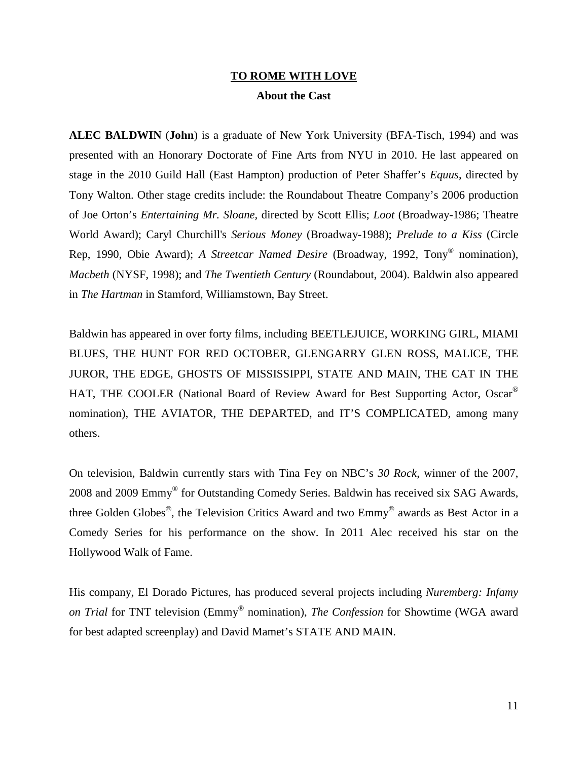## **TO ROME WITH LOVE About the Cast**

**ALEC BALDWIN** (**John**) is a graduate of New York University (BFA-Tisch, 1994) and was presented with an Honorary Doctorate of Fine Arts from NYU in 2010. He last appeared on stage in the 2010 Guild Hall (East Hampton) production of Peter Shaffer's *Equus*, directed by Tony Walton. Other stage credits include: the Roundabout Theatre Company's 2006 production of Joe Orton's *Entertaining Mr. Sloane,* directed by Scott Ellis; *Loot* (Broadway-1986; Theatre World Award); Caryl Churchill's *Serious Money* (Broadway-1988); *Prelude to a Kiss* (Circle Rep, 1990, Obie Award); *A Streetcar Named Desire* (Broadway, 1992, Tony® nomination), *Macbeth* (NYSF, 1998); and *The Twentieth Century* (Roundabout, 2004). Baldwin also appeared in *The Hartman* in Stamford, Williamstown, Bay Street.

Baldwin has appeared in over forty films, including BEETLEJUICE, WORKING GIRL, MIAMI BLUES, THE HUNT FOR RED OCTOBER, GLENGARRY GLEN ROSS, MALICE, THE JUROR, THE EDGE, GHOSTS OF MISSISSIPPI, STATE AND MAIN, THE CAT IN THE HAT, THE COOLER (National Board of Review Award for Best Supporting Actor, Oscar® nomination), THE AVIATOR, THE DEPARTED, and IT'S COMPLICATED, among many others.

On television, Baldwin currently stars with Tina Fey on NBC's *30 Rock*, winner of the 2007, 2008 and 2009 Emmy® for Outstanding Comedy Series. Baldwin has received six SAG Awards, three Golden Globes®, the Television Critics Award and two Emmy® awards as Best Actor in a Comedy Series for his performance on the show. In 2011 Alec received his star on the Hollywood Walk of Fame.

His company, El Dorado Pictures, has produced several projects including *Nuremberg: Infamy on Trial* for TNT television (Emmy® nomination), *The Confession* for Showtime (WGA award for best adapted screenplay) and David Mamet's STATE AND MAIN.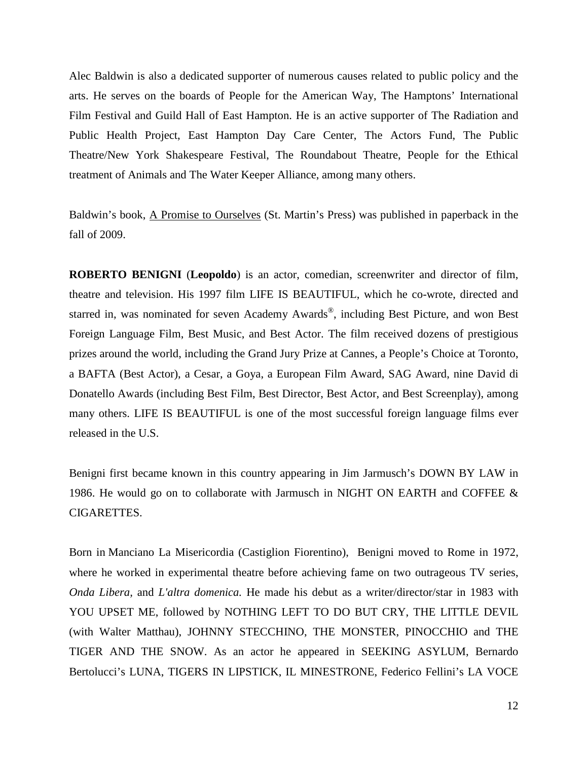Alec Baldwin is also a dedicated supporter of numerous causes related to public policy and the arts. He serves on the boards of People for the American Way, The Hamptons' International Film Festival and Guild Hall of East Hampton. He is an active supporter of The Radiation and Public Health Project, East Hampton Day Care Center, The Actors Fund, The Public Theatre/New York Shakespeare Festival, The Roundabout Theatre, People for the Ethical treatment of Animals and The Water Keeper Alliance, among many others.

Baldwin's book, A Promise to Ourselves (St. Martin's Press) was published in paperback in the fall of 2009.

**ROBERTO BENIGNI** (**Leopoldo**) is an actor, comedian, screenwriter and director of film, theatre and television. His 1997 film LIFE IS BEAUTIFUL, which he co-wrote, directed and starred in, was nominated for seven Academy Awards®, including Best Picture, and won Best Foreign Language Film, Best Music, and Best Actor. The film received dozens of prestigious prizes around the world, including the Grand Jury Prize at Cannes, a People's Choice at Toronto, a BAFTA (Best Actor), a Cesar, a Goya, a European Film Award, SAG Award, nine David di Donatello Awards (including Best Film, Best Director, Best Actor, and Best Screenplay), among many others. LIFE IS BEAUTIFUL is one of the most successful foreign language films ever released in the U.S.

Benigni first became known in this country appearing in Jim Jarmusch's DOWN BY LAW in 1986. He would go on to collaborate with Jarmusch in NIGHT ON EARTH and COFFEE & CIGARETTES.

Born in Manciano La Misericordia (Castiglion Fiorentino), Benigni moved to Rome in 1972, where he worked in experimental theatre before achieving fame on two outrageous TV series, *Onda Libera,* and *L'altra domenica.* He made his debut as a writer/director/star in 1983 with YOU UPSET ME, followed by NOTHING LEFT TO DO BUT CRY, THE LITTLE DEVIL (with Walter Matthau), JOHNNY STECCHINO, THE MONSTER, PINOCCHIO and THE TIGER AND THE SNOW. As an actor he appeared in SEEKING ASYLUM, Bernardo Bertolucci's LUNA, TIGERS IN LIPSTICK, IL MINESTRONE, Federico Fellini's LA VOCE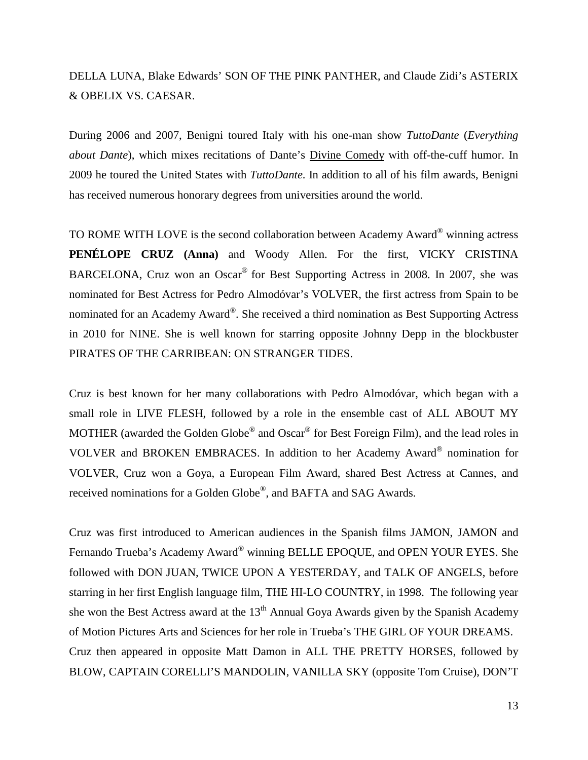# DELLA LUNA, Blake Edwards' SON OF THE PINK PANTHER, and Claude Zidi's ASTERIX & OBELIX VS. CAESAR.

During 2006 and 2007, Benigni toured Italy with his one-man show *TuttoDante* (*Everything about Dante*), which mixes recitations of Dante's Divine Comedy with off-the-cuff humor. In 2009 he toured the United States with *TuttoDante*. In addition to all of his film awards, Benigni has received numerous honorary degrees from universities around the world.

TO ROME WITH LOVE is the second collaboration between Academy Award® winning actress **PENÉLOPE CRUZ (Anna)** and Woody Allen. For the first, VICKY CRISTINA BARCELONA, Cruz won an Oscar® for Best Supporting Actress in 2008. In 2007, she was nominated for Best Actress for Pedro Almodóvar's VOLVER, the first actress from Spain to be nominated for an Academy Award®. She received a third nomination as Best Supporting Actress in 2010 for NINE. She is well known for starring opposite Johnny Depp in the blockbuster PIRATES OF THE CARRIBEAN: ON STRANGER TIDES.

Cruz is best known for her many collaborations with Pedro Almodóvar, which began with a small role in LIVE FLESH, followed by a role in the ensemble cast of ALL ABOUT MY MOTHER (awarded the Golden Globe® and Oscar® for Best Foreign Film), and the lead roles in VOLVER and BROKEN EMBRACES. In addition to her Academy Award® nomination for VOLVER, Cruz won a Goya, a European Film Award, shared Best Actress at Cannes, and received nominations for a Golden Globe®, and BAFTA and SAG Awards.

Cruz was first introduced to American audiences in the Spanish films JAMON, JAMON and Fernando Trueba's Academy Award® winning BELLE EPOQUE, and OPEN YOUR EYES. She followed with DON JUAN, TWICE UPON A YESTERDAY, and TALK OF ANGELS, before starring in her first English language film, THE HI-LO COUNTRY, in 1998. The following year she won the Best Actress award at the  $13<sup>th</sup>$  Annual Goya Awards given by the Spanish Academy of Motion Pictures Arts and Sciences for her role in Trueba's THE GIRL OF YOUR DREAMS. Cruz then appeared in opposite Matt Damon in ALL THE PRETTY HORSES, followed by BLOW, CAPTAIN CORELLI'S MANDOLIN, VANILLA SKY (opposite Tom Cruise), DON'T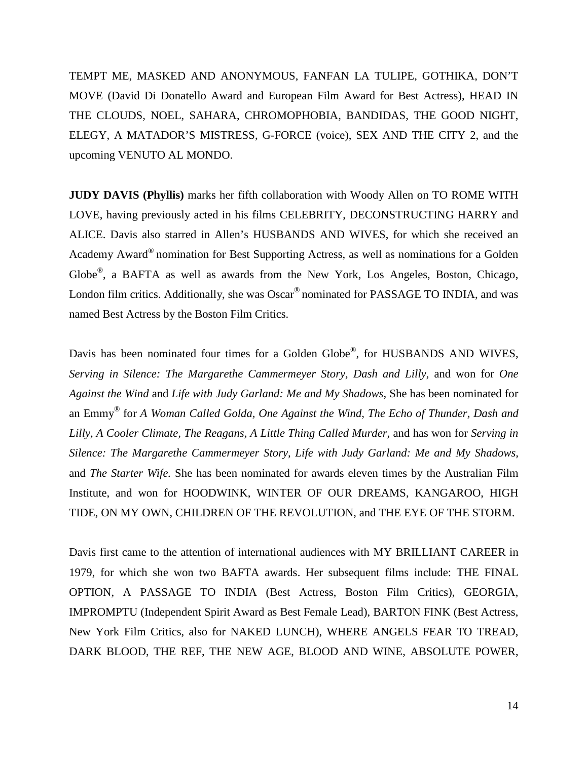TEMPT ME, MASKED AND ANONYMOUS, FANFAN LA TULIPE, GOTHIKA, DON'T MOVE (David Di Donatello Award and European Film Award for Best Actress), HEAD IN THE CLOUDS, NOEL, SAHARA, CHROMOPHOBIA, BANDIDAS, THE GOOD NIGHT, ELEGY, A MATADOR'S MISTRESS, G-FORCE (voice), SEX AND THE CITY 2, and the upcoming VENUTO AL MONDO.

**JUDY DAVIS (Phyllis)** marks her fifth collaboration with Woody Allen on TO ROME WITH LOVE, having previously acted in his films CELEBRITY, DECONSTRUCTING HARRY and ALICE. Davis also starred in Allen's HUSBANDS AND WIVES, for which she received an Academy Award® nomination for Best Supporting Actress, as well as nominations for a Golden Globe®, a BAFTA as well as awards from the New York, Los Angeles, Boston, Chicago, London film critics. Additionally, she was Oscar<sup>®</sup> nominated for PASSAGE TO INDIA, and was named Best Actress by the Boston Film Critics.

Davis has been nominated four times for a Golden Globe<sup>®</sup>, for HUSBANDS AND WIVES, *Serving in Silence: The Margarethe Cammermeyer Story, Dash and Lilly,* and won for *One Against the Wind* and *Life with Judy Garland: Me and My Shadows,* She has been nominated for an Emmy® for *A Woman Called Golda, One Against the Wind*, *The Echo of Thunder, Dash and Lilly, A Cooler Climate, The Reagans, A Little Thing Called Murder,* and has won for *Serving in Silence: The Margarethe Cammermeyer Story, Life with Judy Garland: Me and My Shadows,*  and *The Starter Wife.* She has been nominated for awards eleven times by the Australian Film Institute, and won for HOODWINK, WINTER OF OUR DREAMS, KANGAROO, HIGH TIDE, ON MY OWN, CHILDREN OF THE REVOLUTION, and THE EYE OF THE STORM.

Davis first came to the attention of international audiences with MY BRILLIANT CAREER in 1979, for which she won two BAFTA awards. Her subsequent films include: THE FINAL OPTION, A PASSAGE TO INDIA (Best Actress, Boston Film Critics), GEORGIA, IMPROMPTU (Independent Spirit Award as Best Female Lead), BARTON FINK (Best Actress, New York Film Critics, also for NAKED LUNCH), WHERE ANGELS FEAR TO TREAD, DARK BLOOD, THE REF, THE NEW AGE, BLOOD AND WINE, ABSOLUTE POWER,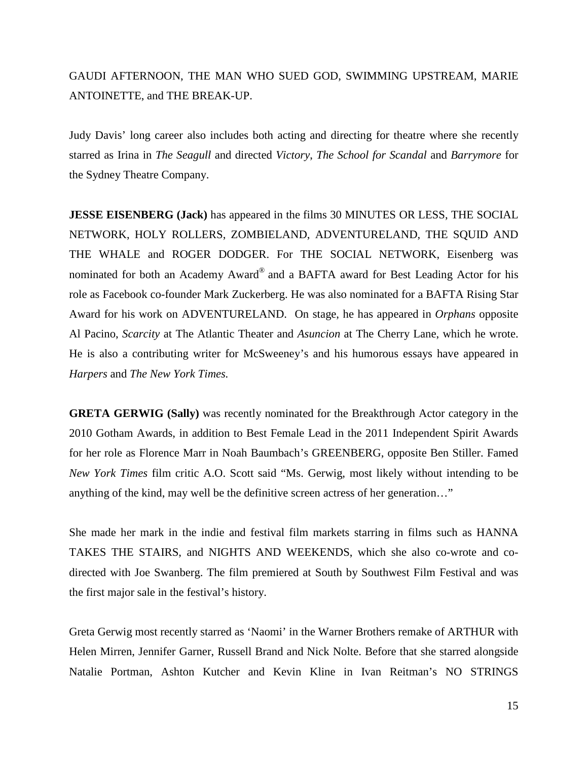# GAUDI AFTERNOON, THE MAN WHO SUED GOD, SWIMMING UPSTREAM, MARIE ANTOINETTE, and THE BREAK-UP.

Judy Davis' long career also includes both acting and directing for theatre where she recently starred as Irina in *The Seagull* and directed *Victory*, *The School for Scandal* and *Barrymore* for the Sydney Theatre Company.

**JESSE EISENBERG (Jack)** has appeared in the films 30 MINUTES OR LESS, THE SOCIAL NETWORK, HOLY ROLLERS, ZOMBIELAND, ADVENTURELAND, THE SQUID AND THE WHALE and ROGER DODGER. For THE SOCIAL NETWORK, Eisenberg was nominated for both an Academy Award® and a BAFTA award for Best Leading Actor for his role as Facebook co-founder Mark Zuckerberg. He was also nominated for a BAFTA Rising Star Award for his work on ADVENTURELAND. On stage, he has appeared in *Orphans* opposite Al Pacino, *Scarcity* at The Atlantic Theater and *Asuncion* at The Cherry Lane, which he wrote. He is also a contributing writer for McSweeney's and his humorous essays have appeared in *Harpers* and *The New York Times.*

**GRETA GERWIG (Sally)** was recently nominated for the Breakthrough Actor category in the 2010 Gotham Awards, in addition to Best Female Lead in the 2011 Independent Spirit Awards for her role as Florence Marr in Noah Baumbach's GREENBERG, opposite Ben Stiller. Famed *New York Times* film critic A.O. Scott said "Ms. Gerwig, most likely without intending to be anything of the kind, may well be the definitive screen actress of her generation…"

She made her mark in the indie and festival film markets starring in films such as HANNA TAKES THE STAIRS, and NIGHTS AND WEEKENDS, which she also co-wrote and codirected with Joe Swanberg. The film premiered at South by Southwest Film Festival and was the first major sale in the festival's history.

Greta Gerwig most recently starred as 'Naomi' in the Warner Brothers remake of ARTHUR with Helen Mirren, Jennifer Garner, Russell Brand and Nick Nolte. Before that she starred alongside Natalie Portman, Ashton Kutcher and Kevin Kline in Ivan Reitman's NO STRINGS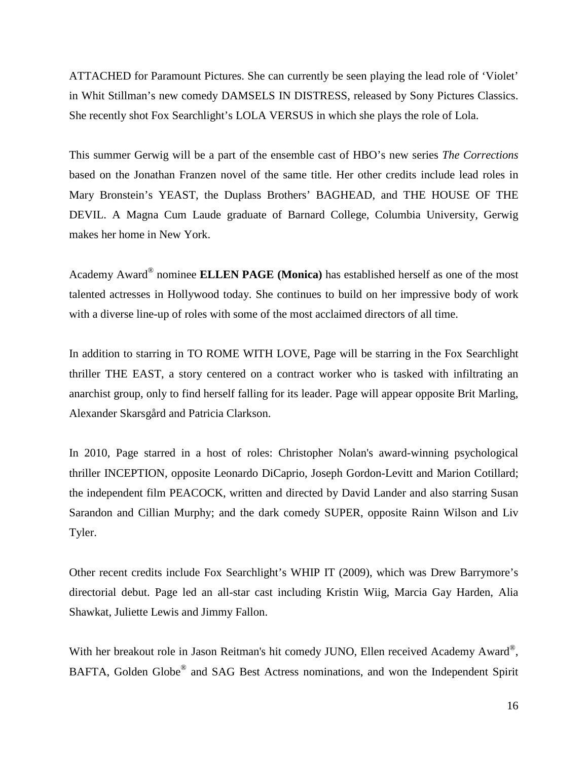ATTACHED for Paramount Pictures. She can currently be seen playing the lead role of 'Violet' in Whit Stillman's new comedy DAMSELS IN DISTRESS, released by Sony Pictures Classics. She recently shot Fox Searchlight's LOLA VERSUS in which she plays the role of Lola.

This summer Gerwig will be a part of the ensemble cast of HBO's new series *The Corrections* based on the Jonathan Franzen novel of the same title. Her other credits include lead roles in Mary Bronstein's YEAST, the Duplass Brothers' BAGHEAD, and THE HOUSE OF THE DEVIL. A Magna Cum Laude graduate of Barnard College, Columbia University, Gerwig makes her home in New York.

Academy Award® nominee **ELLEN PAGE (Monica)** has established herself as one of the most talented actresses in Hollywood today. She continues to build on her impressive body of work with a diverse line-up of roles with some of the most acclaimed directors of all time.

In addition to starring in TO ROME WITH LOVE, Page will be starring in the Fox Searchlight thriller THE EAST, a story centered on a contract worker who is tasked with infiltrating an anarchist group, only to find herself falling for its leader. Page will appear opposite Brit Marling, Alexander Skarsgård and Patricia Clarkson.

In 2010, Page starred in a host of roles: Christopher Nolan's award-winning psychological thriller INCEPTION, opposite Leonardo DiCaprio, Joseph Gordon-Levitt and Marion Cotillard; the independent film PEACOCK, written and directed by David Lander and also starring Susan Sarandon and Cillian Murphy; and the dark comedy SUPER, opposite Rainn Wilson and Liv Tyler.

Other recent credits include Fox Searchlight's WHIP IT (2009), which was Drew Barrymore's directorial debut. Page led an all-star cast including Kristin Wiig, Marcia Gay Harden, Alia Shawkat, Juliette Lewis and Jimmy Fallon.

With her breakout role in Jason Reitman's hit comedy JUNO, Ellen received Academy Award®, BAFTA, Golden Globe® and SAG Best Actress nominations, and won the Independent Spirit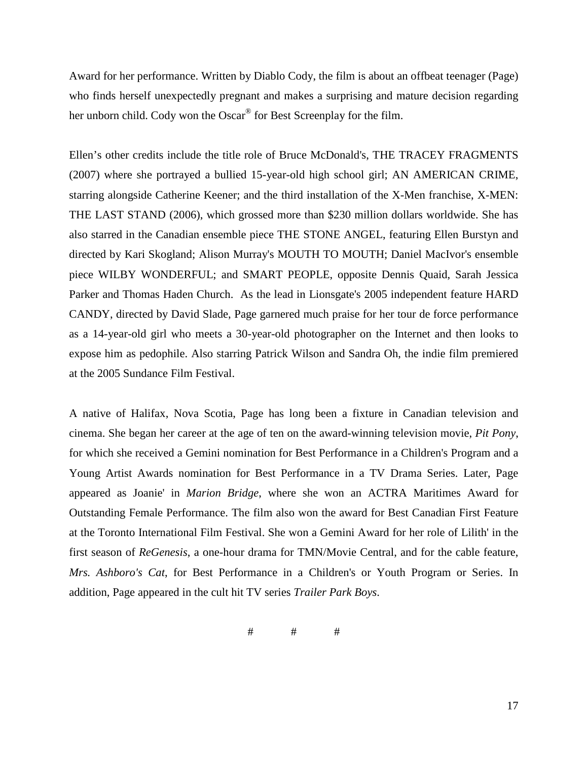Award for her performance. Written by Diablo Cody, the film is about an offbeat teenager (Page) who finds herself unexpectedly pregnant and makes a surprising and mature decision regarding her unborn child. Cody won the Oscar® for Best Screenplay for the film.

Ellen's other credits include the title role of Bruce McDonald's, THE TRACEY FRAGMENTS (2007) where she portrayed a bullied 15-year-old high school girl; AN AMERICAN CRIME, starring alongside Catherine Keener; and the third installation of the X-Men franchise, X-MEN: THE LAST STAND (2006), which grossed more than \$230 million dollars worldwide. She has also starred in the Canadian ensemble piece THE STONE ANGEL, featuring Ellen Burstyn and directed by Kari Skogland; Alison Murray's MOUTH TO MOUTH; Daniel MacIvor's ensemble piece WILBY WONDERFUL; and SMART PEOPLE, opposite Dennis Quaid, Sarah Jessica Parker and Thomas Haden Church. As the lead in Lionsgate's 2005 independent feature HARD CANDY, directed by David Slade, Page garnered much praise for her tour de force performance as a 14-year-old girl who meets a 30-year-old photographer on the Internet and then looks to expose him as pedophile. Also starring Patrick Wilson and Sandra Oh, the indie film premiered at the 2005 Sundance Film Festival.

A native of Halifax, Nova Scotia, Page has long been a fixture in Canadian television and cinema. She began her career at the age of ten on the award-winning television movie, *Pit Pony*, for which she received a Gemini nomination for Best Performance in a Children's Program and a Young Artist Awards nomination for Best Performance in a TV Drama Series. Later, Page appeared as Joanie' in *Marion Bridge*, where she won an ACTRA Maritimes Award for Outstanding Female Performance. The film also won the award for Best Canadian First Feature at the Toronto International Film Festival. She won a Gemini Award for her role of Lilith' in the first season of *ReGenesis*, a one-hour drama for TMN/Movie Central, and for the cable feature, *Mrs. Ashboro's Cat*, for Best Performance in a Children's or Youth Program or Series. In addition, Page appeared in the cult hit TV series *Trailer Park Boys*.

# # #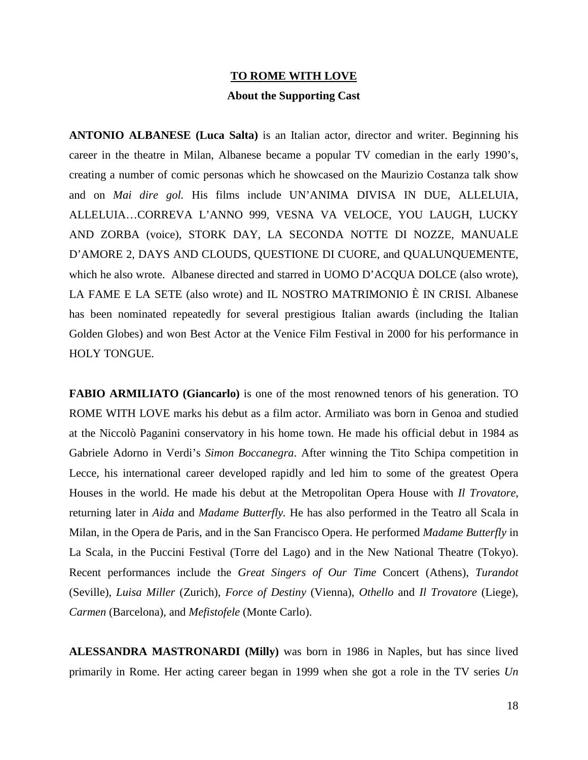## **TO ROME WITH LOVE About the Supporting Cast**

**ANTONIO ALBANESE (Luca Salta)** is an Italian actor, director and writer. Beginning his career in the theatre in Milan, Albanese became a popular TV comedian in the early 1990's, creating a number of comic personas which he showcased on the Maurizio Costanza talk show and on *Mai dire gol.* His films include UN'ANIMA DIVISA IN DUE, ALLELUIA, ALLELUIA…CORREVA L'ANNO 999, VESNA VA VELOCE, YOU LAUGH, LUCKY AND ZORBA (voice), STORK DAY, LA SECONDA NOTTE DI NOZZE, MANUALE D'AMORE 2, DAYS AND CLOUDS, QUESTIONE DI CUORE, and QUALUNQUEMENTE, which he also wrote. Albanese directed and starred in UOMO D'ACQUA DOLCE (also wrote), LA FAME E LA SETE (also wrote) and IL NOSTRO MATRIMONIO È IN CRISI. Albanese has been nominated repeatedly for several prestigious Italian awards (including the Italian Golden Globes) and won Best Actor at the Venice Film Festival in 2000 for his performance in HOLY TONGUE.

**FABIO ARMILIATO (Giancarlo)** is one of the most renowned tenors of his generation. TO ROME WITH LOVE marks his debut as a film actor. Armiliato was born in Genoa and studied at the Niccolò Paganini conservatory in his home town. He made his official debut in 1984 as Gabriele Adorno in Verdi's *Simon Boccanegra*. After winning the Tito Schipa competition in Lecce, his international career developed rapidly and led him to some of the greatest Opera Houses in the world. He made his debut at the Metropolitan Opera House with *Il Trovatore*, returning later in *Aida* and *Madame Butterfly.* He has also performed in the Teatro all Scala in Milan, in the Opera de Paris, and in the San Francisco Opera. He performed *Madame Butterfly* in La Scala, in the Puccini Festival (Torre del Lago) and in the New National Theatre (Tokyo). Recent performances include the *Great Singers of Our Time* Concert (Athens), *Turandot* (Seville), *Luisa Miller* (Zurich), *Force of Destiny* (Vienna), *Othello* and *Il Trovatore* (Liege), *Carmen* (Barcelona), and *Mefistofele* (Monte Carlo).

**ALESSANDRA MASTRONARDI (Milly)** was born in 1986 in Naples, but has since lived primarily in Rome. Her acting career began in 1999 when she got a role in the TV series *Un*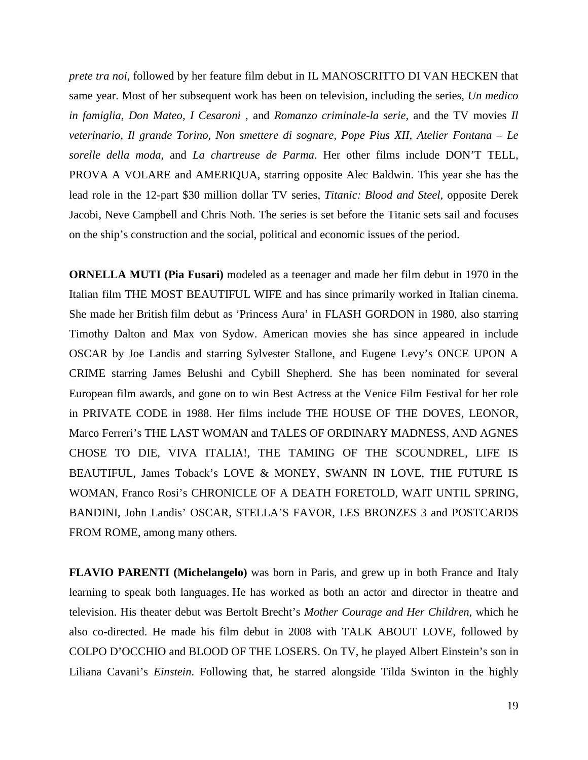*prete tra noi*, followed by her feature film debut in IL MANOSCRITTO DI VAN HECKEN that same year. Most of her subsequent work has been on television, including the series, *Un medico in famiglia, Don Mateo, I Cesaroni* , and *Romanzo criminale-la serie*, and the TV movies *Il veterinario, Il grande Torino, Non smettere di sognare, Pope Pius XII, Atelier Fontana – Le sorelle della moda,* and *La chartreuse de Parma*. Her other films include DON'T TELL, PROVA A VOLARE and AMERIQUA, starring opposite Alec Baldwin. This year she has the lead role in the 12-part \$30 million dollar TV series, *Titanic: Blood and Steel*, opposite Derek Jacobi, Neve Campbell and Chris Noth. The series is set before the Titanic sets sail and focuses on the ship's construction and the social, political and economic issues of the period.

**ORNELLA MUTI (Pia Fusari)** modeled as a teenager and made her film debut in 1970 in the Italian film THE MOST BEAUTIFUL WIFE and has since primarily worked in Italian cinema. She made her British film debut as 'Princess Aura' in FLASH GORDON in 1980, also starring Timothy Dalton and Max von Sydow. American movies she has since appeared in include OSCAR by Joe Landis and starring Sylvester Stallone, and Eugene Levy's ONCE UPON A CRIME starring James Belushi and Cybill Shepherd. She has been nominated for several European film awards, and gone on to win Best Actress at the Venice Film Festival for her role in PRIVATE CODE in 1988. Her films include THE HOUSE OF THE DOVES, LEONOR, Marco Ferreri's THE LAST WOMAN and TALES OF ORDINARY MADNESS, AND AGNES CHOSE TO DIE, VIVA ITALIA!, THE TAMING OF THE SCOUNDREL, LIFE IS BEAUTIFUL, James Toback's LOVE & MONEY, SWANN IN LOVE, THE FUTURE IS WOMAN, Franco Rosi's CHRONICLE OF A DEATH FORETOLD, WAIT UNTIL SPRING, BANDINI, John Landis' OSCAR, STELLA'S FAVOR, LES BRONZES 3 and POSTCARDS FROM ROME, among many others.

**FLAVIO PARENTI (Michelangelo)** was born in Paris, and grew up in both France and Italy learning to speak both languages. He has worked as both an actor and director in theatre and television. His theater debut was Bertolt Brecht's *Mother Courage and Her Children,* which he also co-directed. He made his film debut in 2008 with TALK ABOUT LOVE, followed by COLPO D'OCCHIO and BLOOD OF THE LOSERS. On TV, he played Albert Einstein's son in Liliana Cavani's *Einstein*. Following that, he starred alongside Tilda Swinton in the highly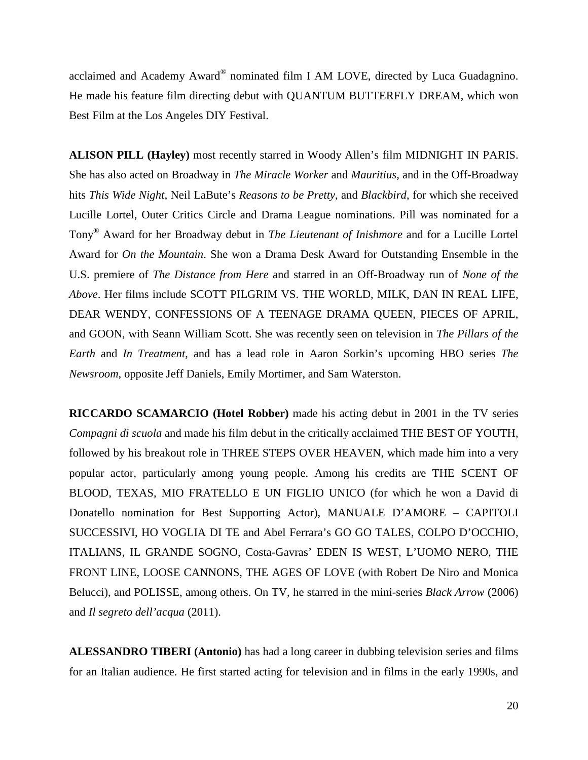acclaimed and Academy Award® nominated film I AM LOVE, directed by Luca Guadagnino. He made his feature film directing debut with QUANTUM BUTTERFLY DREAM, which won Best Film at the Los Angeles DIY Festival.

**ALISON PILL (Hayley)** most recently starred in Woody Allen's film MIDNIGHT IN PARIS. She has also acted on Broadway in *The Miracle Worker* and *Mauritius*, and in the Off-Broadway hits *This Wide Night,* Neil LaBute's *Reasons to be Pretty*, and *Blackbird*, for which she received Lucille Lortel, Outer Critics Circle and Drama League nominations. Pill was nominated for a Tony® Award for her Broadway debut in *The Lieutenant of Inishmore* and for a Lucille Lortel Award for *On the Mountain*. She won a Drama Desk Award for Outstanding Ensemble in the U.S. premiere of *The Distance from Here* and starred in an Off-Broadway run of *None of the Above*. Her films include SCOTT PILGRIM VS. THE WORLD, MILK, DAN IN REAL LIFE, DEAR WENDY, CONFESSIONS OF A TEENAGE DRAMA QUEEN, PIECES OF APRIL, and GOON, with Seann William Scott. She was recently seen on television in *The Pillars of the Earth* and *In Treatment*, and has a lead role in Aaron Sorkin's upcoming HBO series *The Newsroom*, opposite Jeff Daniels, Emily Mortimer, and Sam Waterston.

**RICCARDO SCAMARCIO (Hotel Robber)** made his acting debut in 2001 in the TV series *Compagni di scuola* and made his film debut in the critically acclaimed THE BEST OF YOUTH, followed by his breakout role in THREE STEPS OVER HEAVEN, which made him into a very popular actor, particularly among young people. Among his credits are THE SCENT OF BLOOD, TEXAS, MIO FRATELLO E UN FIGLIO UNICO (for which he won a David di Donatello nomination for Best Supporting Actor), MANUALE D'AMORE – CAPITOLI SUCCESSIVI, HO VOGLIA DI TE and Abel Ferrara's GO GO TALES, COLPO D'OCCHIO, ITALIANS, IL GRANDE SOGNO, Costa-Gavras' EDEN IS WEST, L'UOMO NERO, THE FRONT LINE, LOOSE CANNONS, THE AGES OF LOVE (with Robert De Niro and Monica Belucci), and POLISSE, among others. On TV, he starred in the mini-series *Black Arrow* (2006) and *Il segreto dell'acqua* (2011).

**ALESSANDRO TIBERI (Antonio)** has had a long career in dubbing television series and films for an Italian audience. He first started acting for television and in films in the early 1990s, and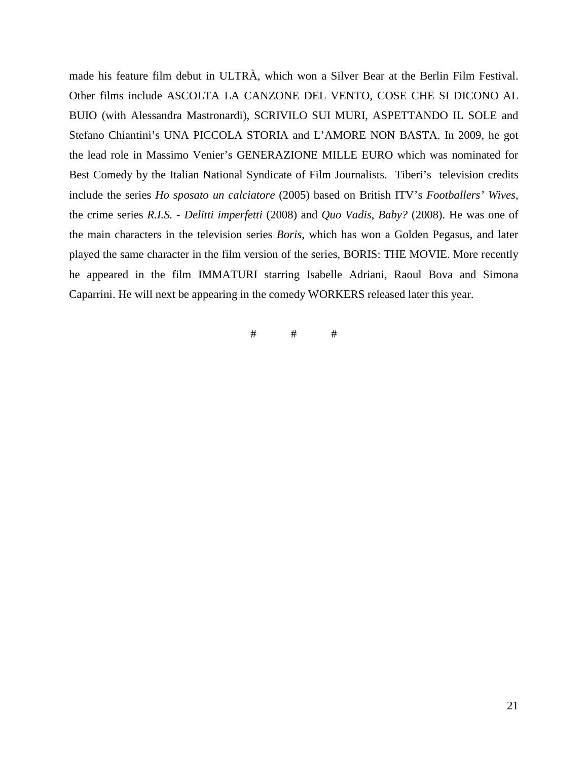made his feature film debut in ULTRÀ, which won a Silver Bear at the Berlin Film Festival. Other films include ASCOLTA LA CANZONE DEL VENTO, COSE CHE SI DICONO AL BUIO (with Alessandra Mastronardi), SCRIVILO SUI MURI, ASPETTANDO IL SOLE and Stefano Chiantini's UNA PICCOLA STORIA and L'AMORE NON BASTA. In 2009, he got the lead role in Massimo Venier's GENERAZIONE MILLE EURO which was nominated for Best Comedy by the Italian National Syndicate of Film Journalists. Tiberi's television credits include the series *Ho sposato un calciatore* (2005) based on British ITV's *Footballers' Wives*, the crime series *R.I.S. - Delitti imperfetti* (2008) and *Quo Vadis, Baby?* (2008). He was one of the main characters in the television series *Boris*, which has won a Golden Pegasus, and later played the same character in the film version of the series, BORIS: THE MOVIE. More recently he appeared in the film IMMATURI starring Isabelle Adriani, Raoul Bova and Simona Caparrini. He will next be appearing in the comedy WORKERS released later this year.

# # #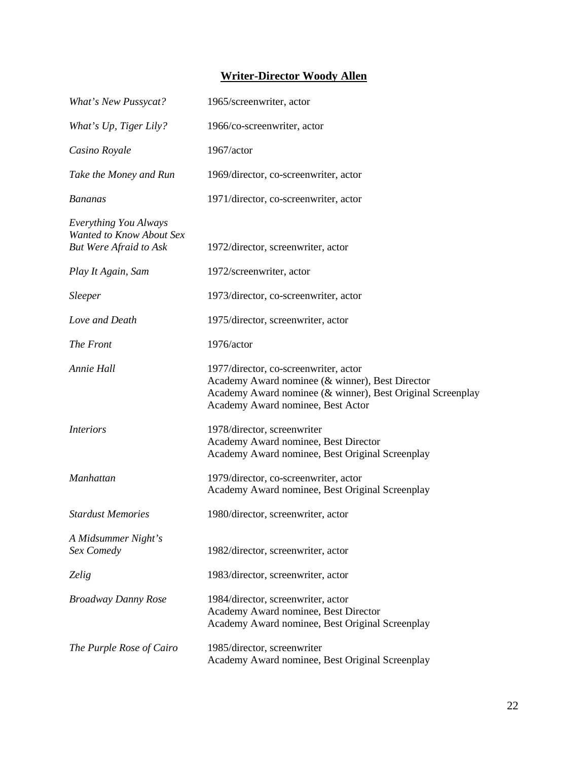#### **Writer-Director Woody Allen**

| What's New Pussycat?                                                               | 1965/screenwriter, actor                                                                                                                                                                    |
|------------------------------------------------------------------------------------|---------------------------------------------------------------------------------------------------------------------------------------------------------------------------------------------|
| What's Up, Tiger Lily?                                                             | 1966/co-screenwriter, actor                                                                                                                                                                 |
| Casino Royale                                                                      | 1967/actor                                                                                                                                                                                  |
| Take the Money and Run                                                             | 1969/director, co-screenwriter, actor                                                                                                                                                       |
| <b>Bananas</b>                                                                     | 1971/director, co-screenwriter, actor                                                                                                                                                       |
| Everything You Always<br>Wanted to Know About Sex<br><b>But Were Afraid to Ask</b> | 1972/director, screenwriter, actor                                                                                                                                                          |
| Play It Again, Sam                                                                 | 1972/screenwriter, actor                                                                                                                                                                    |
| <i>Sleeper</i>                                                                     | 1973/director, co-screenwriter, actor                                                                                                                                                       |
| Love and Death                                                                     | 1975/director, screenwriter, actor                                                                                                                                                          |
| The Front                                                                          | 1976/actor                                                                                                                                                                                  |
| Annie Hall                                                                         | 1977/director, co-screenwriter, actor<br>Academy Award nominee (& winner), Best Director<br>Academy Award nominee (& winner), Best Original Screenplay<br>Academy Award nominee, Best Actor |
| <i>Interiors</i>                                                                   | 1978/director, screenwriter<br>Academy Award nominee, Best Director<br>Academy Award nominee, Best Original Screenplay                                                                      |
| <b>Manhattan</b>                                                                   | 1979/director, co-screenwriter, actor<br>Academy Award nominee, Best Original Screenplay                                                                                                    |
| <b>Stardust Memories</b>                                                           | 1980/director, screenwriter, actor                                                                                                                                                          |
| A Midsummer Night's<br>Sex Comedy                                                  | 1982/director, screenwriter, actor                                                                                                                                                          |
| Zelig                                                                              | 1983/director, screenwriter, actor                                                                                                                                                          |
| <b>Broadway Danny Rose</b>                                                         | 1984/director, screenwriter, actor<br>Academy Award nominee, Best Director<br>Academy Award nominee, Best Original Screenplay                                                               |
| The Purple Rose of Cairo                                                           | 1985/director, screenwriter<br>Academy Award nominee, Best Original Screenplay                                                                                                              |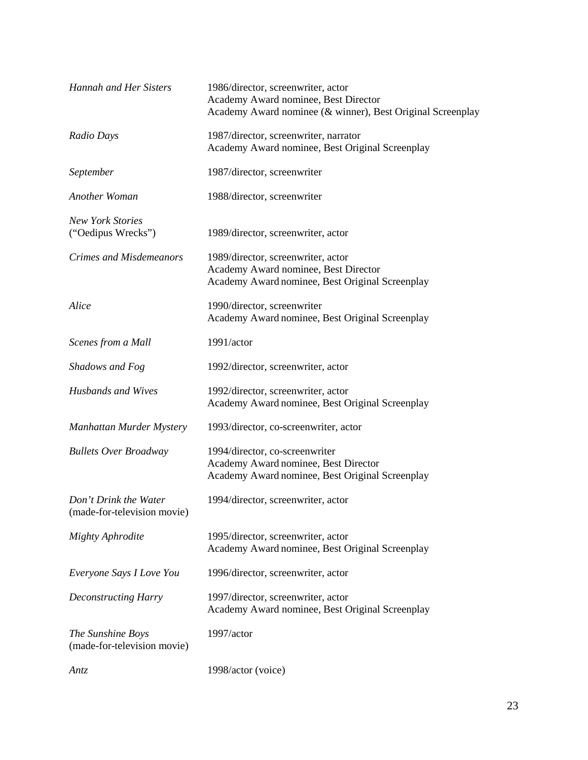| <b>Hannah and Her Sisters</b>                        | 1986/director, screenwriter, actor<br>Academy Award nominee, Best Director<br>Academy Award nominee (& winner), Best Original Screenplay |
|------------------------------------------------------|------------------------------------------------------------------------------------------------------------------------------------------|
| Radio Days                                           | 1987/director, screenwriter, narrator<br>Academy Award nominee, Best Original Screenplay                                                 |
| September                                            | 1987/director, screenwriter                                                                                                              |
| Another Woman                                        | 1988/director, screenwriter                                                                                                              |
| <b>New York Stories</b><br>("Oedipus Wrecks")        | 1989/director, screenwriter, actor                                                                                                       |
| <b>Crimes and Misdemeanors</b>                       | 1989/director, screenwriter, actor<br>Academy Award nominee, Best Director<br>Academy Award nominee, Best Original Screenplay            |
| Alice                                                | 1990/director, screenwriter<br>Academy Award nominee, Best Original Screenplay                                                           |
| Scenes from a Mall                                   | 1991/actor                                                                                                                               |
| Shadows and Fog                                      | 1992/director, screenwriter, actor                                                                                                       |
| <b>Husbands and Wives</b>                            | 1992/director, screenwriter, actor<br>Academy Award nominee, Best Original Screenplay                                                    |
| Manhattan Murder Mystery                             | 1993/director, co-screenwriter, actor                                                                                                    |
| <b>Bullets Over Broadway</b>                         | 1994/director, co-screenwriter<br>Academy Award nominee, Best Director<br>Academy Award nominee, Best Original Screenplay                |
| Don't Drink the Water<br>(made-for-television movie) | 1994/director, screenwriter, actor                                                                                                       |
| <b>Mighty Aphrodite</b>                              | 1995/director, screenwriter, actor<br>Academy Award nominee, Best Original Screenplay                                                    |
| Everyone Says I Love You                             | 1996/director, screenwriter, actor                                                                                                       |
| <b>Deconstructing Harry</b>                          | 1997/director, screenwriter, actor<br>Academy Award nominee, Best Original Screenplay                                                    |
| The Sunshine Boys<br>(made-for-television movie)     | 1997/actor                                                                                                                               |
| <b>Antz</b>                                          | 1998/actor (voice)                                                                                                                       |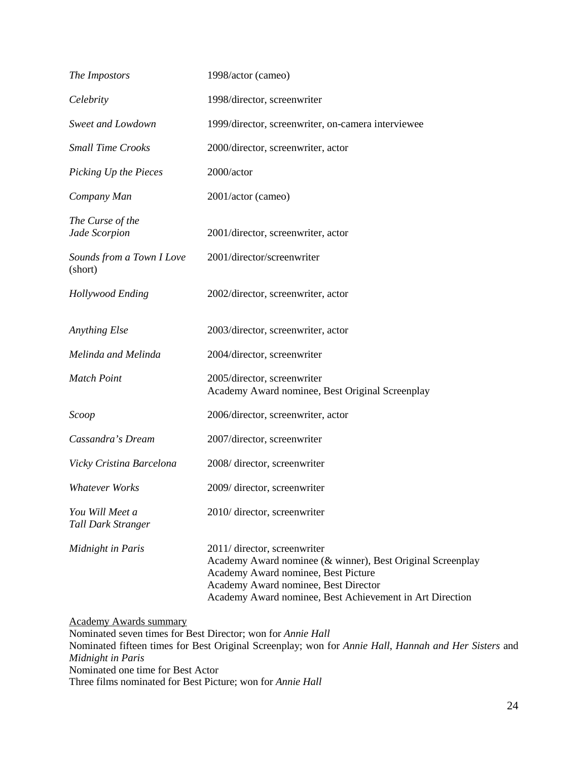| The Impostors                         | 1998/actor (cameo)                                                                                                                                                                                                                    |
|---------------------------------------|---------------------------------------------------------------------------------------------------------------------------------------------------------------------------------------------------------------------------------------|
| Celebrity                             | 1998/director, screenwriter                                                                                                                                                                                                           |
| Sweet and Lowdown                     | 1999/director, screenwriter, on-camera interviewee                                                                                                                                                                                    |
| <b>Small Time Crooks</b>              | 2000/director, screenwriter, actor                                                                                                                                                                                                    |
| Picking Up the Pieces                 | 2000/actor                                                                                                                                                                                                                            |
| Company Man                           | 2001/actor (cameo)                                                                                                                                                                                                                    |
| The Curse of the<br>Jade Scorpion     | 2001/director, screenwriter, actor                                                                                                                                                                                                    |
| Sounds from a Town I Love<br>(short)  | 2001/director/screenwriter                                                                                                                                                                                                            |
| Hollywood Ending                      | 2002/director, screenwriter, actor                                                                                                                                                                                                    |
| <b>Anything Else</b>                  | 2003/director, screenwriter, actor                                                                                                                                                                                                    |
| Melinda and Melinda                   | 2004/director, screenwriter                                                                                                                                                                                                           |
| <b>Match Point</b>                    | 2005/director, screenwriter<br>Academy Award nominee, Best Original Screenplay                                                                                                                                                        |
| Scoop                                 | 2006/director, screenwriter, actor                                                                                                                                                                                                    |
| Cassandra's Dream                     | 2007/director, screenwriter                                                                                                                                                                                                           |
| Vicky Cristina Barcelona              | 2008/director, screenwriter                                                                                                                                                                                                           |
| <b>Whatever Works</b>                 | 2009/director, screenwriter                                                                                                                                                                                                           |
| You Will Meet a<br>Tall Dark Stranger | 2010/director, screenwriter                                                                                                                                                                                                           |
| Midnight in Paris                     | 2011/ director, screenwriter<br>Academy Award nominee (& winner), Best Original Screenplay<br>Academy Award nominee, Best Picture<br>Academy Award nominee, Best Director<br>Academy Award nominee, Best Achievement in Art Direction |

Academy Awards summary

Nominated seven times for Best Director; won for *Annie Hall* Nominated fifteen times for Best Original Screenplay; won for *Annie Hall*, *Hannah and Her Sisters* and *Midnight in Paris* Nominated one time for Best Actor Three films nominated for Best Picture; won for *Annie Hall*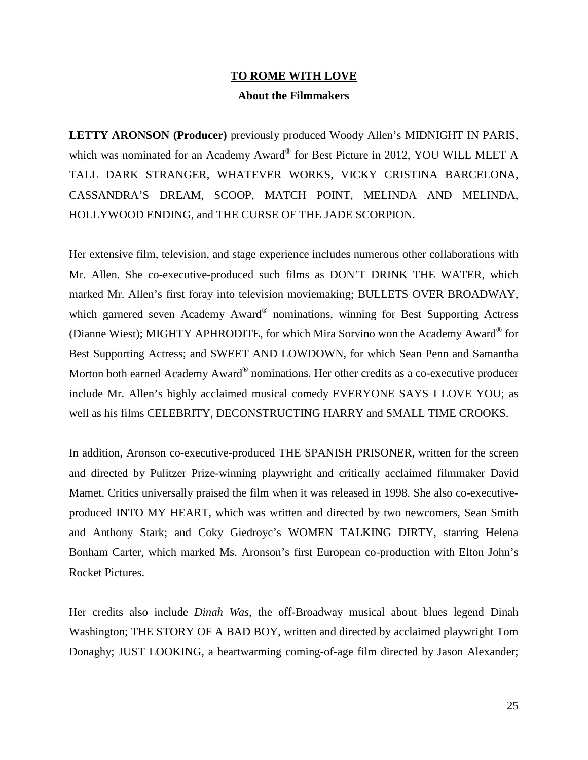## **TO ROME WITH LOVE About the Filmmakers**

**LETTY ARONSON (Producer)** previously produced Woody Allen's MIDNIGHT IN PARIS, which was nominated for an Academy Award® for Best Picture in 2012, YOU WILL MEET A TALL DARK STRANGER, WHATEVER WORKS, VICKY CRISTINA BARCELONA, CASSANDRA'S DREAM, SCOOP, MATCH POINT, MELINDA AND MELINDA, HOLLYWOOD ENDING, and THE CURSE OF THE JADE SCORPION.

Her extensive film, television, and stage experience includes numerous other collaborations with Mr. Allen. She co-executive-produced such films as DON'T DRINK THE WATER, which marked Mr. Allen's first foray into television moviemaking; BULLETS OVER BROADWAY, which garnered seven Academy Award<sup>®</sup> nominations, winning for Best Supporting Actress (Dianne Wiest); MIGHTY APHRODITE, for which Mira Sorvino won the Academy Award® for Best Supporting Actress; and SWEET AND LOWDOWN, for which Sean Penn and Samantha Morton both earned Academy Award<sup>®</sup> nominations. Her other credits as a co-executive producer include Mr. Allen's highly acclaimed musical comedy EVERYONE SAYS I LOVE YOU; as well as his films CELEBRITY, DECONSTRUCTING HARRY and SMALL TIME CROOKS.

In addition, Aronson co-executive-produced THE SPANISH PRISONER, written for the screen and directed by Pulitzer Prize-winning playwright and critically acclaimed filmmaker David Mamet. Critics universally praised the film when it was released in 1998. She also co-executiveproduced INTO MY HEART, which was written and directed by two newcomers, Sean Smith and Anthony Stark; and Coky Giedroyc's WOMEN TALKING DIRTY, starring Helena Bonham Carter, which marked Ms. Aronson's first European co-production with Elton John's Rocket Pictures.

Her credits also include *Dinah Was*, the off-Broadway musical about blues legend Dinah Washington; THE STORY OF A BAD BOY, written and directed by acclaimed playwright Tom Donaghy; JUST LOOKING, a heartwarming coming-of-age film directed by Jason Alexander;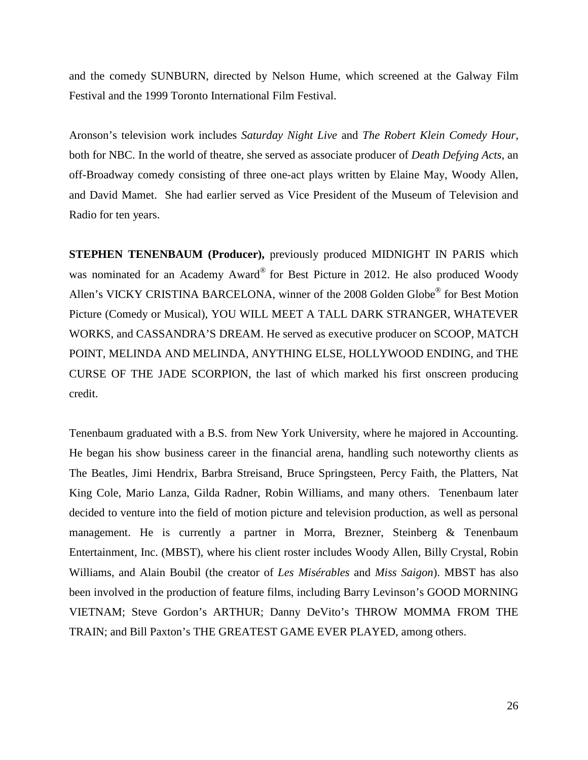and the comedy SUNBURN, directed by Nelson Hume, which screened at the Galway Film Festival and the 1999 Toronto International Film Festival.

Aronson's television work includes *Saturday Night Live* and *The Robert Klein Comedy Hour,*  both for NBC. In the world of theatre, she served as associate producer of *Death Defying Acts*, an off-Broadway comedy consisting of three one-act plays written by Elaine May, Woody Allen, and David Mamet. She had earlier served as Vice President of the Museum of Television and Radio for ten years.

**STEPHEN TENENBAUM (Producer),** previously produced MIDNIGHT IN PARIS which was nominated for an Academy Award® for Best Picture in 2012. He also produced Woody Allen's VICKY CRISTINA BARCELONA, winner of the 2008 Golden Globe® for Best Motion Picture (Comedy or Musical), YOU WILL MEET A TALL DARK STRANGER, WHATEVER WORKS, and CASSANDRA'S DREAM. He served as executive producer on SCOOP, MATCH POINT, MELINDA AND MELINDA, ANYTHING ELSE, HOLLYWOOD ENDING, and THE CURSE OF THE JADE SCORPION, the last of which marked his first onscreen producing credit.

Tenenbaum graduated with a B.S. from New York University, where he majored in Accounting. He began his show business career in the financial arena, handling such noteworthy clients as The Beatles, Jimi Hendrix, Barbra Streisand, Bruce Springsteen, Percy Faith, the Platters, Nat King Cole, Mario Lanza, Gilda Radner, Robin Williams, and many others. Tenenbaum later decided to venture into the field of motion picture and television production, as well as personal management. He is currently a partner in Morra, Brezner, Steinberg & Tenenbaum Entertainment, Inc. (MBST), where his client roster includes Woody Allen, Billy Crystal, Robin Williams, and Alain Boubil (the creator of *Les Misérables* and *Miss Saigon*). MBST has also been involved in the production of feature films, including Barry Levinson's GOOD MORNING VIETNAM; Steve Gordon's ARTHUR; Danny DeVito's THROW MOMMA FROM THE TRAIN; and Bill Paxton's THE GREATEST GAME EVER PLAYED, among others.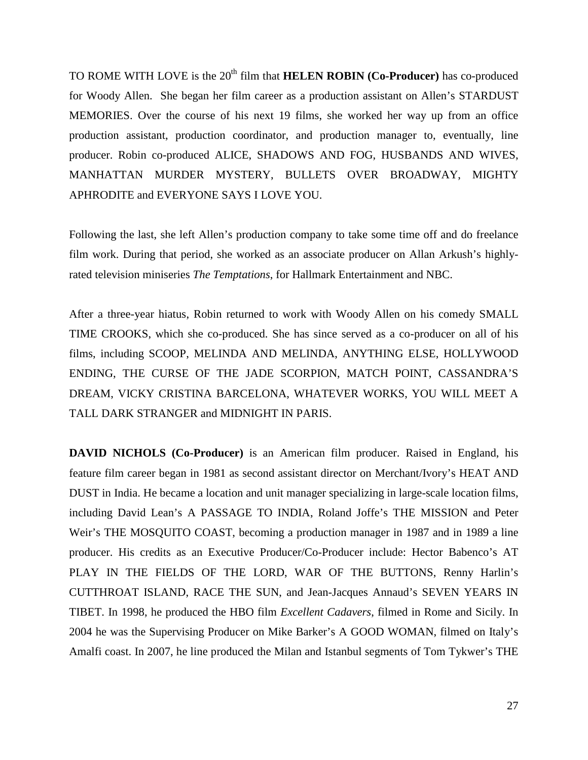TO ROME WITH LOVE is the 20<sup>th</sup> film that **HELEN ROBIN (Co-Producer)** has co-produced for Woody Allen. She began her film career as a production assistant on Allen's STARDUST MEMORIES. Over the course of his next 19 films, she worked her way up from an office production assistant, production coordinator, and production manager to, eventually, line producer. Robin co-produced ALICE, SHADOWS AND FOG, HUSBANDS AND WIVES, MANHATTAN MURDER MYSTERY, BULLETS OVER BROADWAY, MIGHTY APHRODITE and EVERYONE SAYS I LOVE YOU.

Following the last, she left Allen's production company to take some time off and do freelance film work. During that period, she worked as an associate producer on Allan Arkush's highlyrated television miniseries *The Temptations*, for Hallmark Entertainment and NBC.

After a three-year hiatus, Robin returned to work with Woody Allen on his comedy SMALL TIME CROOKS, which she co-produced. She has since served as a co-producer on all of his films, including SCOOP, MELINDA AND MELINDA, ANYTHING ELSE, HOLLYWOOD ENDING, THE CURSE OF THE JADE SCORPION, MATCH POINT, CASSANDRA'S DREAM, VICKY CRISTINA BARCELONA, WHATEVER WORKS, YOU WILL MEET A TALL DARK STRANGER and MIDNIGHT IN PARIS.

**DAVID NICHOLS (Co-Producer)** is an American film producer. Raised in England, his feature film career began in 1981 as second assistant director on Merchant/Ivory's HEAT AND DUST in India. He became a location and unit manager specializing in large-scale location films, including David Lean's A PASSAGE TO INDIA, Roland Joffe's THE MISSION and Peter Weir's THE MOSQUITO COAST, becoming a production manager in 1987 and in 1989 a line producer. His credits as an Executive Producer/Co-Producer include: Hector Babenco's AT PLAY IN THE FIELDS OF THE LORD, WAR OF THE BUTTONS, Renny Harlin's CUTTHROAT ISLAND, RACE THE SUN, and Jean-Jacques Annaud's SEVEN YEARS IN TIBET. In 1998, he produced the HBO film *Excellent Cadavers*, filmed in Rome and Sicily. In 2004 he was the Supervising Producer on Mike Barker's A GOOD WOMAN, filmed on Italy's Amalfi coast. In 2007, he line produced the Milan and Istanbul segments of Tom Tykwer's THE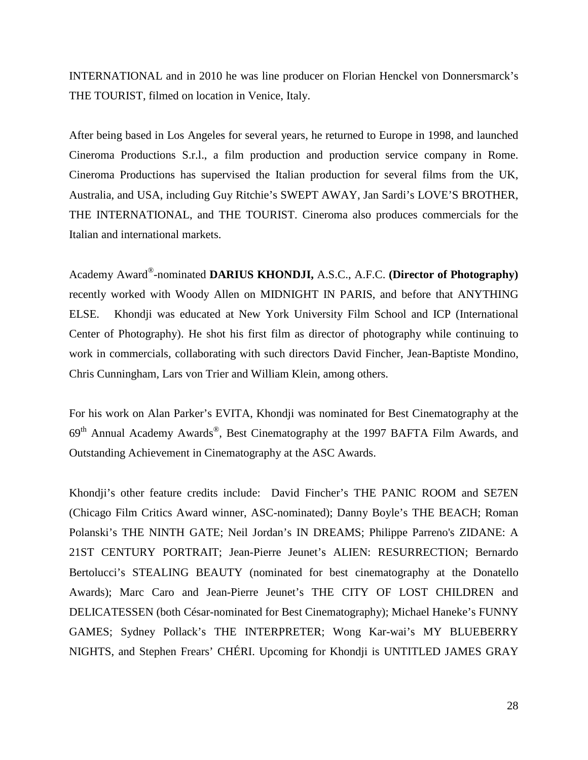INTERNATIONAL and in 2010 he was line producer on Florian Henckel von Donnersmarck's THE TOURIST, filmed on location in Venice, Italy.

After being based in Los Angeles for several years, he returned to Europe in 1998, and launched Cineroma Productions S.r.l., a film production and production service company in Rome. Cineroma Productions has supervised the Italian production for several films from the UK, Australia, and USA, including Guy Ritchie's SWEPT AWAY, Jan Sardi's LOVE'S BROTHER, THE INTERNATIONAL, and THE TOURIST. Cineroma also produces commercials for the Italian and international markets.

Academy Award®-nominated **DARIUS KHONDJI,** A.S.C., A.F.C. **(Director of Photography)** recently worked with Woody Allen on MIDNIGHT IN PARIS, and before that ANYTHING ELSE. Khondji was educated at New York University Film School and ICP (International Center of Photography). He shot his first film as director of photography while continuing to work in commercials, collaborating with such directors David Fincher, Jean-Baptiste Mondino, Chris Cunningham, Lars von Trier and William Klein, among others.

For his work on Alan Parker's EVITA, Khondji was nominated for Best Cinematography at the 69th Annual Academy Awards®, Best Cinematography at the 1997 BAFTA Film Awards, and Outstanding Achievement in Cinematography at the ASC Awards.

Khondji's other feature credits include: David Fincher's THE PANIC ROOM and SE7EN (Chicago Film Critics Award winner, ASC-nominated); Danny Boyle's THE BEACH; Roman Polanski's THE NINTH GATE; Neil Jordan's IN DREAMS; Philippe Parreno's ZIDANE: A 21ST CENTURY PORTRAIT; Jean-Pierre Jeunet's ALIEN: RESURRECTION; Bernardo Bertolucci's STEALING BEAUTY (nominated for best cinematography at the Donatello Awards); Marc Caro and Jean-Pierre Jeunet's THE CITY OF LOST CHILDREN and DELICATESSEN (both César-nominated for Best Cinematography); Michael Haneke's FUNNY GAMES; Sydney Pollack's THE INTERPRETER; Wong Kar-wai's MY BLUEBERRY NIGHTS, and Stephen Frears' CHÉRI. Upcoming for Khondji is UNTITLED JAMES GRAY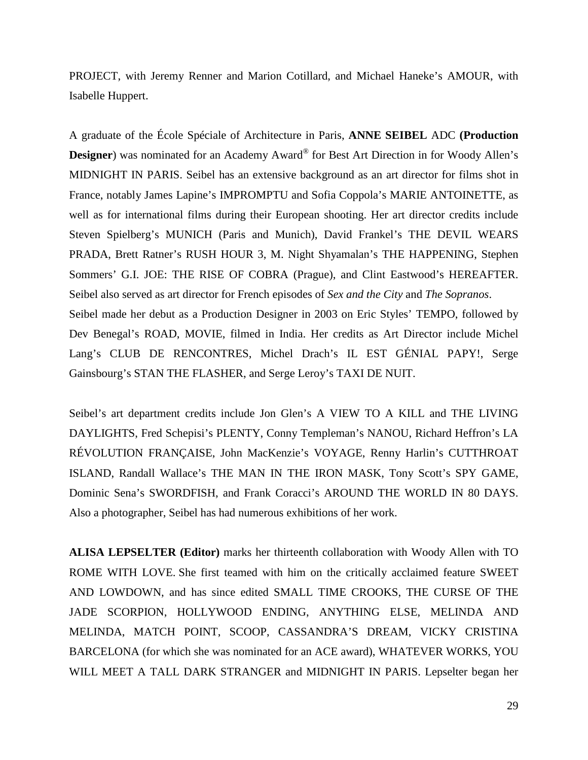PROJECT, with Jeremy Renner and Marion Cotillard, and Michael Haneke's AMOUR, with Isabelle Huppert.

A graduate of the École Spéciale of Architecture in Paris, **ANNE SEIBEL** ADC **(Production Designer**) was nominated for an Academy Award<sup>®</sup> for Best Art Direction in for Woody Allen's MIDNIGHT IN PARIS. Seibel has an extensive background as an art director for films shot in France, notably James Lapine's IMPROMPTU and Sofia Coppola's MARIE ANTOINETTE, as well as for international films during their European shooting. Her art director credits include Steven Spielberg's MUNICH (Paris and Munich), David Frankel's THE DEVIL WEARS PRADA, Brett Ratner's RUSH HOUR 3, M. Night Shyamalan's THE HAPPENING, Stephen Sommers' G.I. JOE: THE RISE OF COBRA (Prague), and Clint Eastwood's HEREAFTER. Seibel also served as art director for French episodes of *Sex and the City* and *The Sopranos*. Seibel made her debut as a Production Designer in 2003 on Eric Styles' TEMPO, followed by Dev Benegal's ROAD, MOVIE, filmed in India. Her credits as Art Director include Michel Lang's CLUB DE RENCONTRES, Michel Drach's IL EST GÉNIAL PAPY!, Serge

Seibel's art department credits include Jon Glen's A VIEW TO A KILL and THE LIVING DAYLIGHTS, Fred Schepisi's PLENTY, Conny Templeman's NANOU, Richard Heffron's LA RÉVOLUTION FRANÇAISE, John MacKenzie's VOYAGE, Renny Harlin's CUTTHROAT ISLAND, Randall Wallace's THE MAN IN THE IRON MASK, Tony Scott's SPY GAME, Dominic Sena's SWORDFISH, and Frank Coracci's AROUND THE WORLD IN 80 DAYS. Also a photographer, Seibel has had numerous exhibitions of her work.

Gainsbourg's STAN THE FLASHER, and Serge Leroy's TAXI DE NUIT.

**ALISA LEPSELTER (Editor)** marks her thirteenth collaboration with Woody Allen with TO ROME WITH LOVE. She first teamed with him on the critically acclaimed feature SWEET AND LOWDOWN, and has since edited SMALL TIME CROOKS, THE CURSE OF THE JADE SCORPION, HOLLYWOOD ENDING, ANYTHING ELSE, MELINDA AND MELINDA, MATCH POINT, SCOOP, CASSANDRA'S DREAM, VICKY CRISTINA BARCELONA (for which she was nominated for an ACE award), WHATEVER WORKS, YOU WILL MEET A TALL DARK STRANGER and MIDNIGHT IN PARIS. Lepselter began her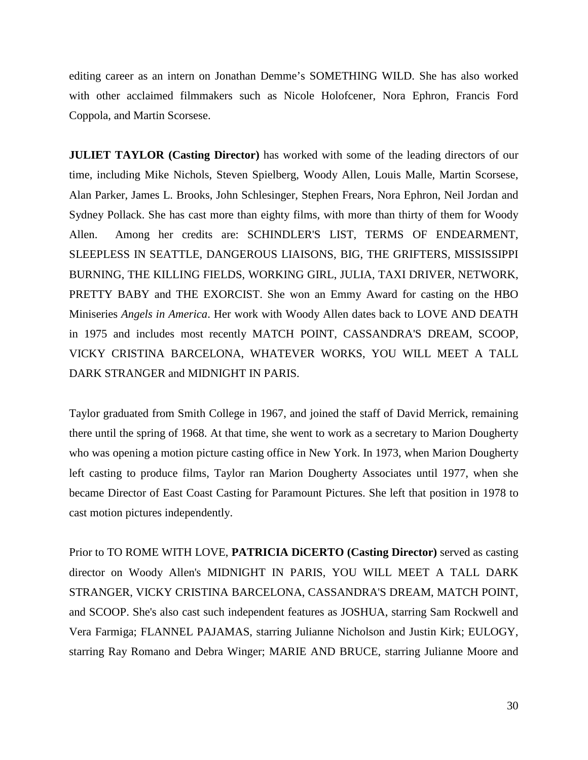editing career as an intern on Jonathan Demme's SOMETHING WILD. She has also worked with other acclaimed filmmakers such as Nicole Holofcener, Nora Ephron, Francis Ford Coppola, and Martin Scorsese.

**JULIET TAYLOR (Casting Director)** has worked with some of the leading directors of our time, including Mike Nichols, Steven Spielberg, Woody Allen, Louis Malle, Martin Scorsese, Alan Parker, James L. Brooks, John Schlesinger, Stephen Frears, Nora Ephron, Neil Jordan and Sydney Pollack. She has cast more than eighty films, with more than thirty of them for Woody Allen. Among her credits are: SCHINDLER'S LIST, TERMS OF ENDEARMENT, SLEEPLESS IN SEATTLE, DANGEROUS LIAISONS, BIG, THE GRIFTERS, MISSISSIPPI BURNING, THE KILLING FIELDS, WORKING GIRL, JULIA, TAXI DRIVER, NETWORK, PRETTY BABY and THE EXORCIST. She won an Emmy Award for casting on the HBO Miniseries *Angels in America*. Her work with Woody Allen dates back to LOVE AND DEATH in 1975 and includes most recently MATCH POINT, CASSANDRA'S DREAM, SCOOP, VICKY CRISTINA BARCELONA, WHATEVER WORKS, YOU WILL MEET A TALL DARK STRANGER and MIDNIGHT IN PARIS.

Taylor graduated from Smith College in 1967, and joined the staff of David Merrick, remaining there until the spring of 1968. At that time, she went to work as a secretary to Marion Dougherty who was opening a motion picture casting office in New York. In 1973, when Marion Dougherty left casting to produce films, Taylor ran Marion Dougherty Associates until 1977, when she became Director of East Coast Casting for Paramount Pictures. She left that position in 1978 to cast motion pictures independently.

Prior to TO ROME WITH LOVE, **PATRICIA DiCERTO (Casting Director)** served as casting director on Woody Allen's MIDNIGHT IN PARIS, YOU WILL MEET A TALL DARK STRANGER, VICKY CRISTINA BARCELONA, CASSANDRA'S DREAM, MATCH POINT, and SCOOP. She's also cast such independent features as JOSHUA, starring Sam Rockwell and Vera Farmiga; FLANNEL PAJAMAS, starring Julianne Nicholson and Justin Kirk; EULOGY, starring Ray Romano and Debra Winger; MARIE AND BRUCE, starring Julianne Moore and